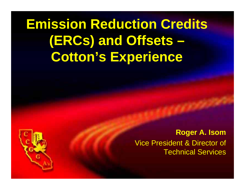## **Emission Reduction Credits (ERCs) and Offsets – Cotton's Experience**

**Roger A. Isom** Vice President & Director of Technical Services

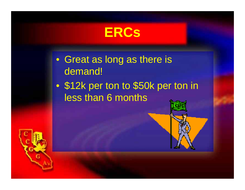

- Great as long as there is demand!
- $\bullet$  \$12k per ton to \$50k per ton in less than 6 months

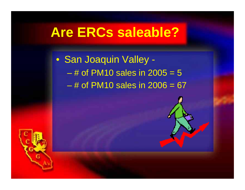#### **Are ERCs saleable?**

• San Joaquin Valley - – # of PM10 sales in 2005 = 5 – # of PM10 sales in 2006 = 67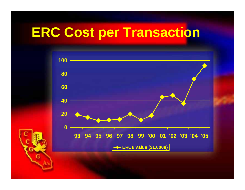## **ERC Cost per Transaction**

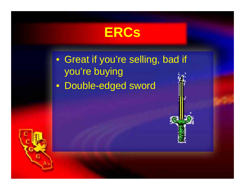

• Great if you're selling, bad if you're buying

• Double-edged sword



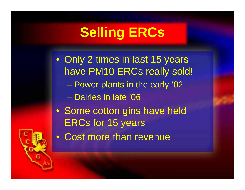## **Selling ERCs**

- Only 2 times in last 15 years have PM10 ERCs really sold! Power plants in the early '02 – Dairies in late '06
- Some cotton gins have held ERCs for 15 years
- Cost more than revenue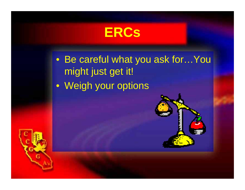**ERCs**

• Be careful what you ask for…You might just get it! • Weigh your options



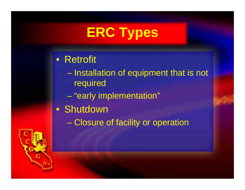# **ERC Types**

- Retrofit
	- Installation of equipment that is not required
		- "early implementation"
- Shutdown
	- Closure of facility or operation

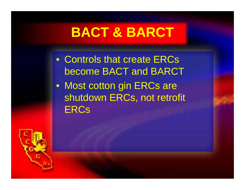## **BACT & BARCT**

- Controls that create ERCs become BACT and BARCT
- Most cotton gin ERCs are shutdown ERCs, not retrofit **ERCs**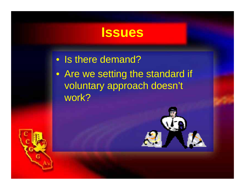#### **Issues**

• Is there demand?

• Are we setting the standard if voluntary approach doesn't work?